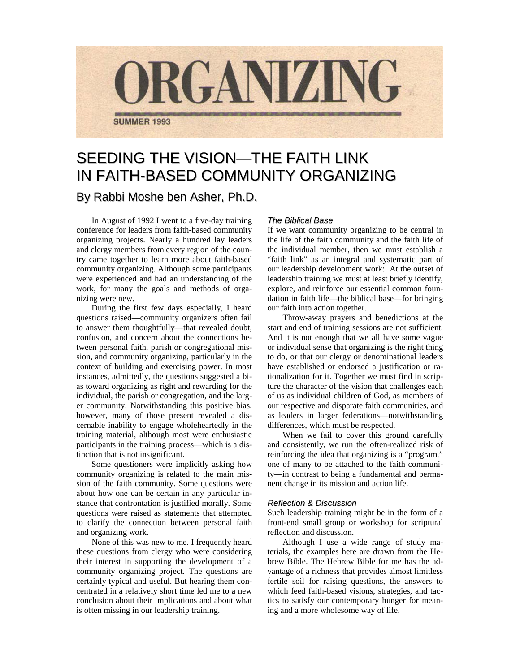

# SEEDING THE VISION—THE FAITH LINK IN FAITH-BASED COMMUNITY ORGANIZING By Rabbi Moshe ben Asher, Ph.D.

In August of 1992 I went to a five-day training conference for leaders from faith-based community organizing projects. Nearly a hundred lay leaders and clergy members from every region of the country came together to learn more about faith-based community organizing. Although some participants were experienced and had an understanding of the work, for many the goals and methods of organizing were new.

During the first few days especially, I heard questions raised—community organizers often fail to answer them thoughtfully—that revealed doubt, confusion, and concern about the connections between personal faith, parish or congregational mission, and community organizing, particularly in the context of building and exercising power. In most instances, admittedly, the questions suggested a bias toward organizing as right and rewarding for the individual, the parish or congregation, and the larger community. Notwithstanding this positive bias, however, many of those present revealed a discernable inability to engage wholeheartedly in the training material, although most were enthusiastic participants in the training process—which is a distinction that is not insignificant.

Some questioners were implicitly asking how community organizing is related to the main mission of the faith community. Some questions were about how one can be certain in any particular instance that confrontation is justified morally. Some questions were raised as statements that attempted to clarify the connection between personal faith and organizing work.

None of this was new to me. I frequently heard these questions from clergy who were considering their interest in supporting the development of a community organizing project. The questions are certainly typical and useful. But hearing them concentrated in a relatively short time led me to a new conclusion about their implications and about what is often missing in our leadership training.

## *The Biblical Base*

If we want community organizing to be central in the life of the faith community and the faith life of the individual member, then we must establish a "faith link" as an integral and systematic part of our leadership development work: At the outset of leadership training we must at least briefly identify, explore, and reinforce our essential common foundation in faith life—the biblical base—for bringing our faith into action together.

Throw-away prayers and benedictions at the start and end of training sessions are not sufficient. And it is not enough that we all have some vague or individual sense that organizing is the right thing to do, or that our clergy or denominational leaders have established or endorsed a justification or rationalization for it. Together we must find in scripture the character of the vision that challenges each of us as individual children of God, as members of our respective and disparate faith communities, and as leaders in larger federations—notwithstanding differences, which must be respected.

When we fail to cover this ground carefully and consistently, we run the often-realized risk of reinforcing the idea that organizing is a "program," one of many to be attached to the faith community—in contrast to being a fundamental and permanent change in its mission and action life.

#### *Reflection & Discussion*

Such leadership training might be in the form of a front-end small group or workshop for scriptural reflection and discussion.

Although I use a wide range of study materials, the examples here are drawn from the Hebrew Bible. The Hebrew Bible for me has the advantage of a richness that provides almost limitless fertile soil for raising questions, the answers to which feed faith-based visions, strategies, and tactics to satisfy our contemporary hunger for meaning and a more wholesome way of life.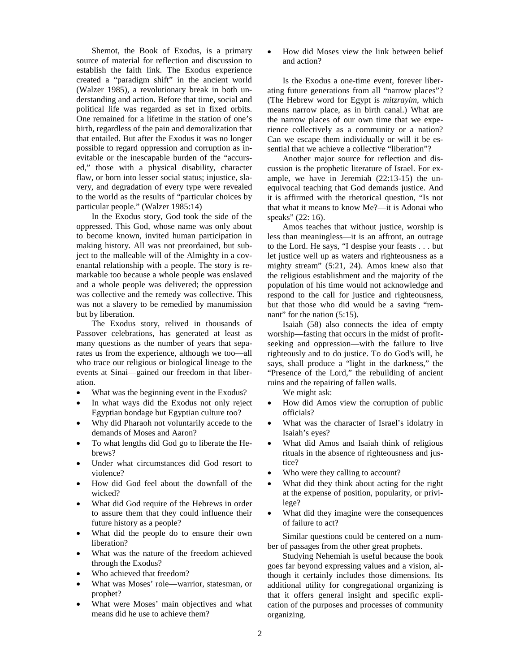Shemot, the Book of Exodus, is a primary source of material for reflection and discussion to establish the faith link. The Exodus experience created a "paradigm shift" in the ancient world (Walzer 1985), a revolutionary break in both understanding and action. Before that time, social and political life was regarded as set in fixed orbits. One remained for a lifetime in the station of one's birth, regardless of the pain and demoralization that that entailed. But after the Exodus it was no longer possible to regard oppression and corruption as inevitable or the inescapable burden of the "accursed," those with a physical disability, character flaw, or born into lesser social status; injustice, slavery, and degradation of every type were revealed to the world as the results of "particular choices by particular people." (Walzer 1985:14)

In the Exodus story, God took the side of the oppressed. This God, whose name was only about to become known, invited human participation in making history. All was not preordained, but subject to the malleable will of the Almighty in a covenantal relationship with a people. The story is remarkable too because a whole people was enslaved and a whole people was delivered; the oppression was collective and the remedy was collective. This was not a slavery to be remedied by manumission but by liberation.

The Exodus story, relived in thousands of Passover celebrations, has generated at least as many questions as the number of years that separates us from the experience, although we too—all who trace our religious or biological lineage to the events at Sinai—gained our freedom in that liberation.

- What was the beginning event in the Exodus?
- In what ways did the Exodus not only reject Egyptian bondage but Egyptian culture too?
- Why did Pharaoh not voluntarily accede to the demands of Moses and Aaron?
- To what lengths did God go to liberate the Hebrews?
- Under what circumstances did God resort to violence?
- How did God feel about the downfall of the wicked?
- What did God require of the Hebrews in order to assure them that they could influence their future history as a people?
- What did the people do to ensure their own liberation?
- What was the nature of the freedom achieved through the Exodus?
- Who achieved that freedom?
- What was Moses' role—warrior, statesman, or prophet?
- What were Moses' main objectives and what means did he use to achieve them?

• How did Moses view the link between belief and action?

Is the Exodus a one-time event, forever liberating future generations from all "narrow places"? (The Hebrew word for Egypt is *mitzrayim*, which means narrow place, as in birth canal.) What are the narrow places of our own time that we experience collectively as a community or a nation? Can we escape them individually or will it be essential that we achieve a collective "liberation"?

Another major source for reflection and discussion is the prophetic literature of Israel. For example, we have in Jeremiah (22:13-15) the unequivocal teaching that God demands justice. And it is affirmed with the rhetorical question, "Is not that what it means to know Me?—it is Adonai who speaks" (22: 16).

Amos teaches that without justice, worship is less than meaningless—it is an affront, an outrage to the Lord. He says, "I despise your feasts . . . but let justice well up as waters and righteousness as a mighty stream" (5:21, 24). Amos knew also that the religious establishment and the majority of the population of his time would not acknowledge and respond to the call for justice and righteousness, but that those who did would be a saving "remnant" for the nation  $(5:15)$ .

Isaiah (58) also connects the idea of empty worship—fasting that occurs in the midst of profitseeking and oppression—with the failure to live righteously and to do justice. To do God's will, he says, shall produce a "light in the darkness," the "Presence of the Lord," the rebuilding of ancient ruins and the repairing of fallen walls.

We might ask:

- How did Amos view the corruption of public officials?
- What was the character of Israel's idolatry in Isaiah's eyes?
- What did Amos and Isaiah think of religious rituals in the absence of righteousness and justice?
- Who were they calling to account?
- What did they think about acting for the right at the expense of position, popularity, or privilege?
- What did they imagine were the consequences of failure to act?

Similar questions could be centered on a number of passages from the other great prophets.

Studying Nehemiah is useful because the book goes far beyond expressing values and a vision, although it certainly includes those dimensions. Its additional utility for congregational organizing is that it offers general insight and specific explication of the purposes and processes of community organizing.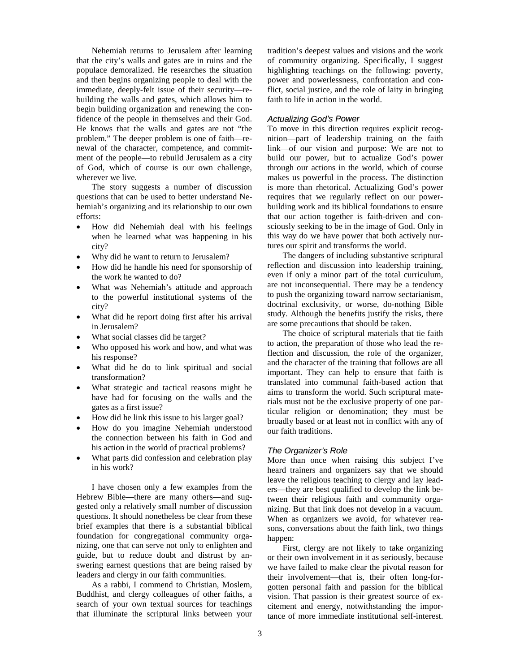Nehemiah returns to Jerusalem after learning that the city's walls and gates are in ruins and the populace demoralized. He researches the situation and then begins organizing people to deal with the immediate, deeply-felt issue of their security—rebuilding the walls and gates, which allows him to begin building organization and renewing the confidence of the people in themselves and their God. He knows that the walls and gates are not "the problem." The deeper problem is one of faith—renewal of the character, competence, and commitment of the people—to rebuild Jerusalem as a city of God, which of course is our own challenge, wherever we live.

The story suggests a number of discussion questions that can be used to better understand Nehemiah's organizing and its relationship to our own efforts:

- How did Nehemiah deal with his feelings when he learned what was happening in his city?
- Why did he want to return to Jerusalem?
- How did he handle his need for sponsorship of the work he wanted to do?
- What was Nehemiah's attitude and approach to the powerful institutional systems of the city?
- What did he report doing first after his arrival in Jerusalem?
- What social classes did he target?
- Who opposed his work and how, and what was his response?
- What did he do to link spiritual and social transformation?
- What strategic and tactical reasons might he have had for focusing on the walls and the gates as a first issue?
- How did he link this issue to his larger goal?
- How do you imagine Nehemiah understood the connection between his faith in God and his action in the world of practical problems?
- What parts did confession and celebration play in his work?

I have chosen only a few examples from the Hebrew Bible—there are many others—and suggested only a relatively small number of discussion questions. It should nonetheless be clear from these brief examples that there is a substantial biblical foundation for congregational community organizing, one that can serve not only to enlighten and guide, but to reduce doubt and distrust by answering earnest questions that are being raised by leaders and clergy in our faith communities.

As a rabbi, I commend to Christian, Moslem, Buddhist, and clergy colleagues of other faiths, a search of your own textual sources for teachings that illuminate the scriptural links between your

tradition's deepest values and visions and the work of community organizing. Specifically, I suggest highlighting teachings on the following: poverty, power and powerlessness, confrontation and conflict, social justice, and the role of laity in bringing faith to life in action in the world.

### *Actualizing God's Power*

To move in this direction requires explicit recognition—part of leadership training on the faith link—of our vision and purpose: We are not to build our power, but to actualize God's power through our actions in the world, which of course makes us powerful in the process. The distinction is more than rhetorical. Actualizing God's power requires that we regularly reflect on our powerbuilding work and its biblical foundations to ensure that our action together is faith-driven and consciously seeking to be in the image of God. Only in this way do we have power that both actively nurtures our spirit and transforms the world.

The dangers of including substantive scriptural reflection and discussion into leadership training, even if only a minor part of the total curriculum, are not inconsequential. There may be a tendency to push the organizing toward narrow sectarianism, doctrinal exclusivity, or worse, do-nothing Bible study. Although the benefits justify the risks, there are some precautions that should be taken.

The choice of scriptural materials that tie faith to action, the preparation of those who lead the reflection and discussion, the role of the organizer, and the character of the training that follows are all important. They can help to ensure that faith is translated into communal faith-based action that aims to transform the world. Such scriptural materials must not be the exclusive property of one particular religion or denomination; they must be broadly based or at least not in conflict with any of our faith traditions.

#### *The Organizer's Role*

More than once when raising this subject I've heard trainers and organizers say that we should leave the religious teaching to clergy and lay leaders—they are best qualified to develop the link between their religious faith and community organizing. But that link does not develop in a vacuum. When as organizers we avoid, for whatever reasons, conversations about the faith link, two things happen:

First, clergy are not likely to take organizing or their own involvement in it as seriously, because we have failed to make clear the pivotal reason for their involvement—that is, their often long-forgotten personal faith and passion for the biblical vision. That passion is their greatest source of excitement and energy, notwithstanding the importance of more immediate institutional self-interest.